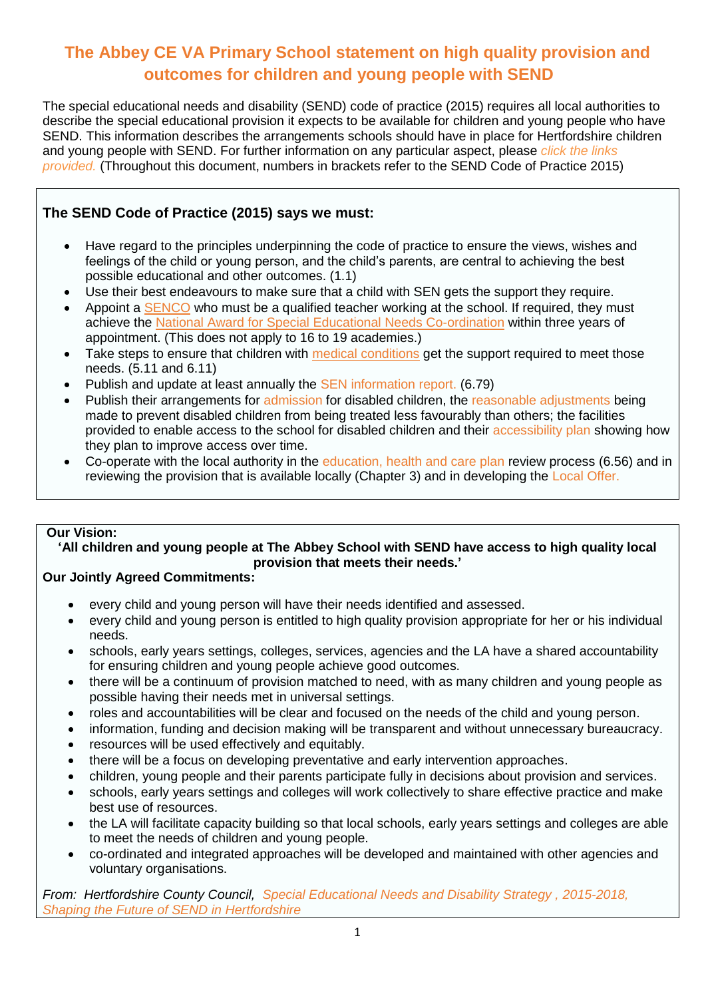# **The Abbey CE VA Primary School statement on high quality provision and outcomes for children and young people with SEND**

The special educational needs and disability (SEND) code of practice (2015) requires all local authorities to describe the special educational provision it expects to be available for children and young people who have SEND. This information describes the arrangements schools should have in place for Hertfordshire children and young people with SEND. For further information on any particular aspect, please *click the links provided.* (Throughout this document, numbers in brackets refer to the SEND Code of Practice 2015)

# **The SEND Code of Practice (2015) says we must:**

- Have regard to the principles underpinning the code of practice to ensure the views, wishes and feelings of the child or young person, and the child's parents, are central to achieving the best possible educational and other outcomes. (1.1)
- Use their best endeavours to make sure that a child with SEN gets the support they require.
- Appoint a SENCO who must be a qualified teacher working at the school. If required, they must achieve the National Award for Special Educational Needs Co-ordination within three years of appointment. (This does not apply to 16 to 19 academies.)
- Take steps to ensure that children with medical conditions get the support required to meet those needs. (5.11 and 6.11)
- Publish and update at least annually the SEN information report. (6.79)
- Publish their arrangements for admission for disabled children, the reasonable adjustments being made to prevent disabled children from being treated less favourably than others; the facilities provided to enable access to the school for disabled children and their accessibility plan showing how they plan to improve access over time.
- Co-operate with the local authority in the education, health and care plan review process (6.56) and in reviewing the provision that is available locally (Chapter 3) and in developing the Local Offer.

## **Our Vision:**

#### **'All children and young people at The Abbey School with SEND have access to high quality local provision that meets their needs.'**

## **Our Jointly Agreed Commitments:**

- every child and young person will have their needs identified and assessed.
- every child and young person is entitled to high quality provision appropriate for her or his individual needs.
- schools, early years settings, colleges, services, agencies and the LA have a shared accountability for ensuring children and young people achieve good outcomes.
- there will be a continuum of provision matched to need, with as many children and young people as possible having their needs met in universal settings.
- roles and accountabilities will be clear and focused on the needs of the child and young person.
- information, funding and decision making will be transparent and without unnecessary bureaucracy.
- resources will be used effectively and equitably.
- there will be a focus on developing preventative and early intervention approaches.
- children, young people and their parents participate fully in decisions about provision and services.
- schools, early years settings and colleges will work collectively to share effective practice and make best use of resources.
- the LA will facilitate capacity building so that local schools, early years settings and colleges are able to meet the needs of children and young people.
- co-ordinated and integrated approaches will be developed and maintained with other agencies and voluntary organisations.

*From: Hertfordshire County Council, Special Educational Needs and Disability Strategy , 2015-2018, Shaping the Future of SEND in Hertfordshire*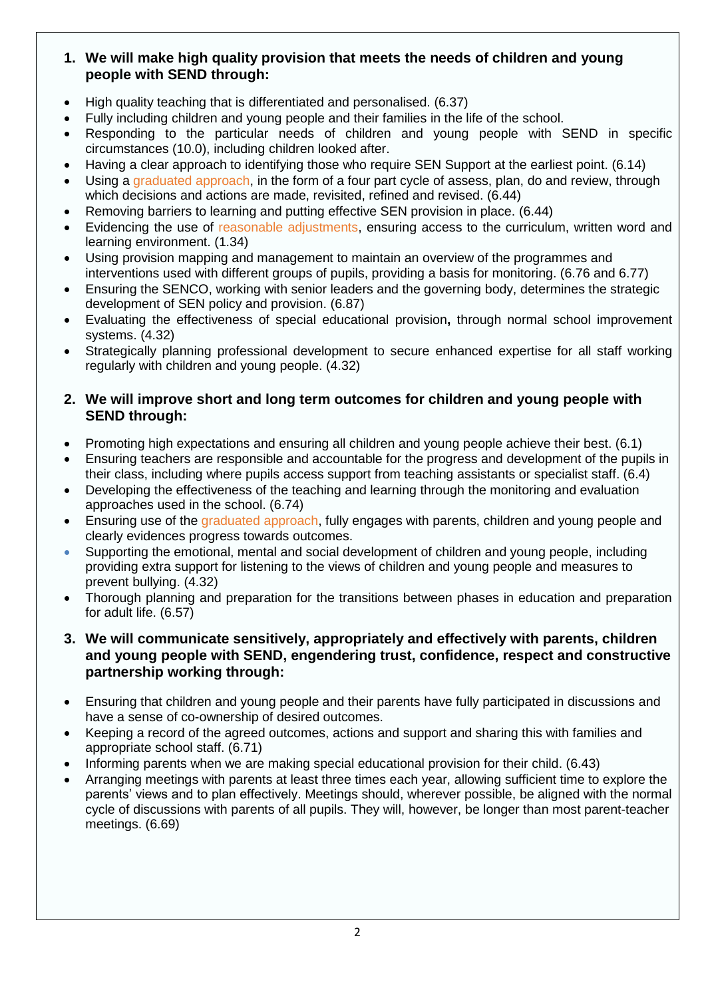## **1. We will make high quality provision that meets the needs of children and young people with SEND through:**

- High quality teaching that is differentiated and personalised. (6.37)
- Fully including children and young people and their families in the life of the school.
- Responding to the particular needs of children and young people with SEND in specific circumstances (10.0), including children looked after.
- Having a clear approach to identifying those who require SEN Support at the earliest point. (6.14)
- Using a graduated approach, in the form of a four part cycle of assess, plan, do and review, through which decisions and actions are made, revisited, refined and revised. (6.44)
- Removing barriers to learning and putting effective SEN provision in place. (6.44)
- Evidencing the use of reasonable adjustments, ensuring access to the curriculum, written word and learning environment. (1.34)
- Using provision mapping and management to maintain an overview of the programmes and interventions used with different groups of pupils, providing a basis for monitoring. (6.76 and 6.77)
- Ensuring the SENCO, working with senior leaders and the governing body, determines the strategic development of SEN policy and provision. (6.87)
- Evaluating the effectiveness of special educational provision**,** through normal school improvement systems. (4.32)
- Strategically planning professional development to secure enhanced expertise for all staff working regularly with children and young people. (4.32)

### **2. We will improve short and long term outcomes for children and young people with SEND through:**

- Promoting high expectations and ensuring all children and young people achieve their best. (6.1)
- Ensuring teachers are responsible and accountable for the progress and development of the pupils in their class, including where pupils access support from teaching assistants or specialist staff. (6.4)
- Developing the effectiveness of the teaching and learning through the monitoring and evaluation approaches used in the school. (6.74)
- Ensuring use of the graduated approach, fully engages with parents, children and young people and clearly evidences progress towards outcomes.
- Supporting the emotional, mental and social development of children and young people, including providing extra support for listening to the views of children and young people and measures to prevent bullying. (4.32)
- Thorough planning and preparation for the transitions between phases in education and preparation for adult life. (6.57)
- **3. We will communicate sensitively, appropriately and effectively with parents, children and young people with SEND, engendering trust, confidence, respect and constructive partnership working through:**
- Ensuring that children and young people and their parents have fully participated in discussions and have a sense of co-ownership of desired outcomes.
- Keeping a record of the agreed outcomes, actions and support and sharing this with families and appropriate school staff. (6.71)
- Informing parents when we are making special educational provision for their child. (6.43)
- Arranging meetings with parents at least three times each year, allowing sufficient time to explore the parents' views and to plan effectively. Meetings should, wherever possible, be aligned with the normal cycle of discussions with parents of all pupils. They will, however, be longer than most parent-teacher meetings. (6.69)